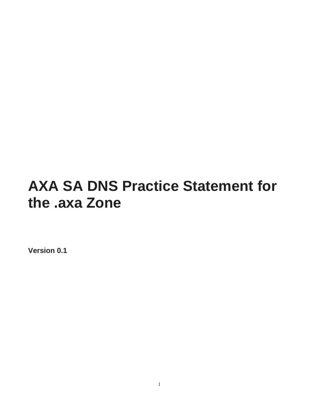# **AXA SA DNS Practice Statement for the .axa Zone**

**Version 0.1**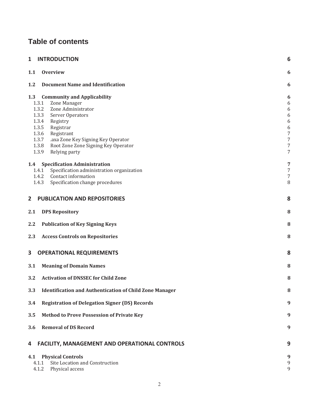## **Table of contents**

| <b>INTRODUCTION</b><br>$\mathbf{1}$<br>6                                                                                                                                                                                                                                                                                  |                                                |  |
|---------------------------------------------------------------------------------------------------------------------------------------------------------------------------------------------------------------------------------------------------------------------------------------------------------------------------|------------------------------------------------|--|
| 1.1<br><b>Overview</b>                                                                                                                                                                                                                                                                                                    | 6                                              |  |
| <b>Document Name and Identification</b><br>1.2                                                                                                                                                                                                                                                                            | 6                                              |  |
| 1.3<br><b>Community and Applicability</b><br>Zone Manager<br>1.3.1<br>1.3.2<br>Zone Administrator<br>1.3.3<br>Server Operators<br>1.3.4<br>Registry<br>1.3.5<br>Registrar<br>1.3.6<br>Registrant<br>1.3.7<br>.axa Zone Key Signing Key Operator<br>1.3.8<br>Root Zone Zone Signing Key Operator<br>1.3.9<br>Relying party | 6<br>6<br>6<br>6<br>6<br>6<br>7<br>7<br>7<br>7 |  |
| <b>Specification Administration</b><br>1.4<br>Specification administration organization<br>1.4.1<br>1.4.2 Contact information<br>Specification change procedures<br>1.4.3                                                                                                                                                 | 7<br>7<br>7<br>8                               |  |
| $\mathbf{2}$<br><b>PUBLICATION AND REPOSITORIES</b>                                                                                                                                                                                                                                                                       | 8                                              |  |
| 2.1<br><b>DPS Repository</b>                                                                                                                                                                                                                                                                                              | 8                                              |  |
| 2.2<br><b>Publication of Key Signing Keys</b>                                                                                                                                                                                                                                                                             | 8                                              |  |
| 2.3<br><b>Access Controls on Repositories</b>                                                                                                                                                                                                                                                                             | 8                                              |  |
| 3<br><b>OPERATIONAL REQUIREMENTS</b>                                                                                                                                                                                                                                                                                      | 8                                              |  |
| 3.1<br><b>Meaning of Domain Names</b>                                                                                                                                                                                                                                                                                     | 8                                              |  |
| 3.2<br><b>Activation of DNSSEC for Child Zone</b>                                                                                                                                                                                                                                                                         | 8                                              |  |
| 3.3<br><b>Identification and Authentication of Child Zone Manager</b>                                                                                                                                                                                                                                                     | 8                                              |  |
| 3.4<br><b>Registration of Delegation Signer (DS) Records</b>                                                                                                                                                                                                                                                              | 9                                              |  |
| 3.5<br><b>Method to Prove Possession of Private Key</b>                                                                                                                                                                                                                                                                   | 9                                              |  |
| 3.6<br><b>Removal of DS Record</b>                                                                                                                                                                                                                                                                                        | 9                                              |  |
| <b>FACILITY, MANAGEMENT AND OPERATIONAL CONTROLS</b><br>4                                                                                                                                                                                                                                                                 | 9                                              |  |
| <b>Physical Controls</b><br>4.1<br>Site Location and Construction<br>4.1.1<br>Physical access<br>4.1.2                                                                                                                                                                                                                    | 9<br>9<br>9                                    |  |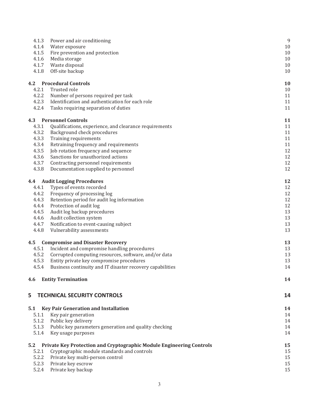| 4.1.3 | Power and air conditioning                                           | 9  |
|-------|----------------------------------------------------------------------|----|
| 4.1.4 | Water exposure                                                       | 10 |
| 4.1.5 | Fire prevention and protection                                       | 10 |
| 4.1.6 | Media storage                                                        | 10 |
| 4.1.7 | Waste disposal                                                       | 10 |
| 4.1.8 | Off-site backup                                                      | 10 |
| 4.2   | <b>Procedural Controls</b>                                           | 10 |
| 4.2.1 | Trusted role                                                         | 10 |
| 4.2.2 | Number of persons required per task                                  | 11 |
| 4.2.3 | Identification and authentication for each role                      | 11 |
| 4.2.4 | Tasks requiring separation of duties                                 | 11 |
| 4.3   | <b>Personnel Controls</b>                                            | 11 |
| 4.3.1 | Qualifications, experience, and clearance requirements               | 11 |
| 4.3.2 | Background check procedures                                          | 11 |
| 4.3.3 | Training requirements                                                | 11 |
| 4.3.4 | Retraining frequency and requirements                                | 11 |
| 4.3.5 | Job rotation frequency and sequence                                  | 12 |
| 4.3.6 | Sanctions for unauthorized actions                                   | 12 |
| 4.3.7 | Contracting personnel requirements                                   | 12 |
| 4.3.8 | Documentation supplied to personnel                                  | 12 |
| 4.4   | <b>Audit Logging Procedures</b>                                      | 12 |
| 4.4.1 | Types of events recorded                                             | 12 |
| 4.4.2 | Frequency of processing log                                          | 12 |
| 4.4.3 | Retention period for audit log information                           | 12 |
| 4.4.4 | Protection of audit log                                              | 12 |
| 4.4.5 | Audit log backup procedures                                          | 13 |
| 4.4.6 | Audit collection system                                              | 13 |
| 4.4.7 | Notification to event-causing subject                                | 13 |
| 4.4.8 | Vulnerability assessments                                            | 13 |
| 4.5   | <b>Compromise and Disaster Recovery</b>                              | 13 |
| 4.5.1 | Incident and compromise handling procedures                          | 13 |
| 4.5.2 | Corrupted computing resources, software, and/or data                 | 13 |
| 4.5.3 | Entity private key compromise procedures                             | 13 |
| 4.5.4 | Business continuity and IT disaster recovery capabilities            | 14 |
| 4.6   | <b>Entity Termination</b>                                            | 14 |
|       |                                                                      |    |
| 5     | <b>TECHNICAL SECURITY CONTROLS</b>                                   | 14 |
| 5.1   | <b>Key Pair Generation and Installation</b>                          | 14 |
| 5.1.1 | Key pair generation                                                  | 14 |
| 5.1.2 | Public key delivery                                                  | 14 |
| 5.1.3 | Public key parameters generation and quality checking                | 14 |
| 5.1.4 | Key usage purposes                                                   | 14 |
| 5.2   | Private Key Protection and Cryptographic Module Engineering Controls | 15 |
| 5.2.1 | Cryptographic module standards and controls                          | 15 |
| 5.2.2 | Private key multi-person control                                     | 15 |
| 5.2.3 | Private key escrow                                                   | 15 |
| 5.2.4 | Private key backup                                                   | 15 |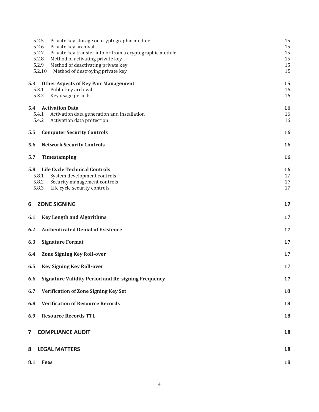| 5.2.5<br>5.2.6<br>5.2.7<br>5.2.8<br>5.2.9<br>5.2.10 | Private key storage on cryptographic module<br>Private key archival<br>Private key transfer into or from a cryptographic module<br>Method of activating private key<br>Method of deactivating private key<br>Method of destroying private key | 15<br>15<br>15<br>15<br>15<br>15 |
|-----------------------------------------------------|-----------------------------------------------------------------------------------------------------------------------------------------------------------------------------------------------------------------------------------------------|----------------------------------|
| 5.3<br>5.3.1<br>5.3.2                               | <b>Other Aspects of Key Pair Management</b><br>Public key archival<br>Key usage periods                                                                                                                                                       | 15<br>16<br>16                   |
| <b>5.4</b> Activation Data<br>5.4.2                 | 5.4.1 Activation data generation and installation<br>Activation data protection                                                                                                                                                               | 16<br>16<br>16                   |
| 5.5                                                 | <b>Computer Security Controls</b>                                                                                                                                                                                                             | 16                               |
| 5.6                                                 | <b>Network Security Controls</b>                                                                                                                                                                                                              | 16                               |
| 5.7<br>Timestamping                                 |                                                                                                                                                                                                                                               | 16                               |
| 5.8<br>5.8.1<br>5.8.2<br>5.8.3                      | <b>Life Cycle Technical Controls</b><br>System development controls<br>Security management controls<br>Life cycle security controls                                                                                                           | 16<br>17<br>17<br>17             |
| <b>ZONE SIGNING</b><br>6                            |                                                                                                                                                                                                                                               | 17                               |
| 6.1                                                 | <b>Key Length and Algorithms</b>                                                                                                                                                                                                              | 17                               |
| 6.2                                                 | <b>Authenticated Denial of Existence</b>                                                                                                                                                                                                      | 17                               |
| 6.3                                                 | <b>Signature Format</b>                                                                                                                                                                                                                       | 17                               |
| 6.4                                                 | <b>Zone Signing Key Roll-over</b>                                                                                                                                                                                                             | 17                               |
| 6.5                                                 | <b>Key Signing Key Roll-over</b>                                                                                                                                                                                                              | 17                               |
| 6.6                                                 | <b>Signature Validity Period and Re-signing Frequency</b>                                                                                                                                                                                     | 17                               |
| 6.7                                                 | <b>Verification of Zone Signing Key Set</b>                                                                                                                                                                                                   | 18                               |
| 6.8                                                 | <b>Verification of Resource Records</b>                                                                                                                                                                                                       | 18                               |
| 6.9                                                 | <b>Resource Records TTL</b>                                                                                                                                                                                                                   | 18                               |
| 7                                                   | <b>COMPLIANCE AUDIT</b>                                                                                                                                                                                                                       | 18                               |
| <b>LEGAL MATTERS</b><br>8                           |                                                                                                                                                                                                                                               | 18                               |
| 8.1<br>Fees                                         |                                                                                                                                                                                                                                               | 18                               |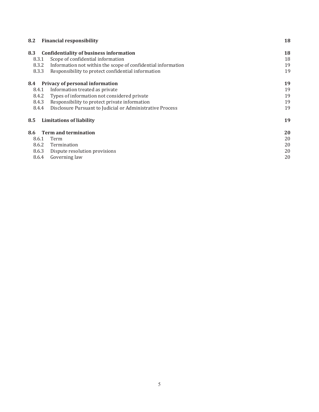| 8.2   | <b>Financial responsibility</b>                              | 18 |
|-------|--------------------------------------------------------------|----|
| 8.3   | <b>Confidentiality of business information</b>               | 18 |
| 8.3.1 | Scope of confidential information                            | 18 |
| 8.3.2 | Information not within the scope of confidential information | 19 |
| 8.3.3 | Responsibility to protect confidential information           | 19 |
| 8.4   | Privacy of personal information                              | 19 |
| 8.4.1 | Information treated as private                               | 19 |
| 8.4.2 | Types of information not considered private                  | 19 |
| 8.4.3 | Responsibility to protect private information                | 19 |
| 8.4.4 | Disclosure Pursuant to Judicial or Administrative Process    | 19 |
| 8.5   | <b>Limitations of liability</b>                              | 19 |
| 8.6   | <b>Term and termination</b>                                  | 20 |
| 8.6.1 | Term                                                         | 20 |
| 8.6.2 | Termination                                                  | 20 |
| 8.6.3 | Dispute resolution provisions                                | 20 |
| 8.6.4 | Governing law                                                | 20 |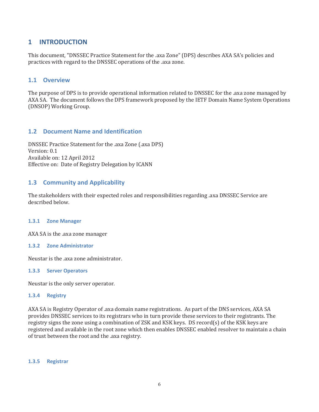### **1 INTRODUCTION**

This document, "DNSSEC Practice Statement for the .axa Zone" (DPS) describes AXA SA's policies and practices with regard to the DNSSEC operations of the .axa zone.

### **1.1 Overview**

The purpose of DPS is to provide operational information related to DNSSEC for the .axa zone managed by AXA SA. The document follows the DPS framework proposed by the IETF Domain Name System Operations (DNSOP) Working Group.

### **1.2 Document Name and Identification**

DNSSEC Practice Statement for the .axa Zone (.axa DPS) Version: 0.1 Available on: 12 April 2012 Effective on: Date of Registry Delegation by ICANN

### **1.3 Community and Applicability**

The stakeholders with their expected roles and responsibilities regarding .axa DNSSEC Service are described below.

#### **1.3.1 Zone Manager**

AXA SA is the .axa zone manager

#### **1.3.2 Zone Administrator**

Neustar is the .axa zone administrator.

#### **1.3.3 Server Operators**

Neustar is the only server operator.

#### **1.3.4 Registry**

AXA SA is Registry Operator of .axa domain name registrations. As part of the DNS services, AXA SA provides DNSSEC services to its registrars who in turn provide these services to their registrants. The registry signs the zone using a combination of ZSK and KSK keys. DS record(s) of the KSK keys are registered and available in the root zone which then enables DNSSEC enabled resolver to maintain a chain of trust between the root and the .axa registry.

#### **1.3.5 Registrar**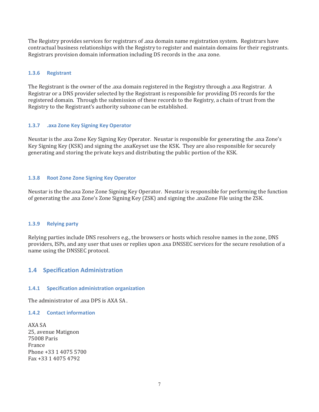The Registry provides services for registrars of .axa domain name registration system. Registrars have contractual business relationships with the Registry to register and maintain domains for their registrants. Registrars provision domain information including DS records in the .axa zone.

### **1.3.6 Registrant**

The Registrant is the owner of the .axa domain registered in the Registry through a .axa Registrar. A Registrar or a DNS provider selected by the Registrant is responsible for providing DS records for the registered domain. Through the submission of these records to the Registry, a chain of trust from the Registry to the Registrant's authority subzone can be established.

### **1.3.7 .axa Zone Key Signing Key Operator**

Neustar is the .axa Zone Key Signing Key Operator. Neustar is responsible for generating the .axa Zone's Key Signing Key (KSK) and signing the .axaKeyset use the KSK. They are also responsible for securely generating and storing the private keys and distributing the public portion of the KSK.

### **1.3.8 Root Zone Zone Signing Key Operator**

Neustar is the the.axa Zone Zone Signing Key Operator. Neustar is responsible for performing the function of generating the .axa Zone's Zone Signing Key (ZSK) and signing the .axaZone File using the ZSK.

### **1.3.9 Relying party**

Relying parties include DNS resolvers e.g., the browsers or hosts which resolve names in the zone, DNS providers, ISPs, and any user that uses or replies upon .axa DNSSEC services for the secure resolution of a name using the DNSSEC protocol.

### **1.4 Specification Administration**

### **1.4.1 Specification administration organization**

The administrator of .axa DPS is AXA SA.

### **1.4.2 Contact information**

AXA SA 25, avenue Matignon 75008 Paris France Phone +33 1 4075 5700 Fax +33 1 4075 4792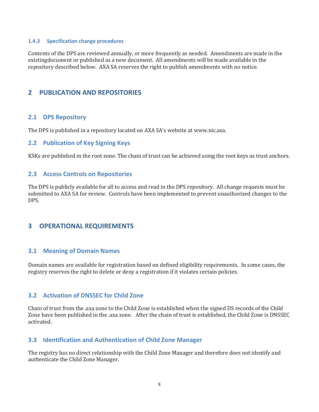#### **1.4.3 Specification change procedures**

Contents of the DPS are reviewed annually, or more frequently as needed. Amendments are made in the existingdocument or published as a new document. All amendments will be made available in the repository described below. AXA SA reserves the right to publish amendments with no notice.

### **2 PUBLICATION AND REPOSITORIES**

### **2.1 DPS Repository**

The DPS is published in a repository located on AXA SA's website at www.nic.axa.

### **2.2 Publication of Key Signing Keys**

KSKs are published in the root zone. The chain of trust can be achieved using the root keys as trust anchors.

### **2.3 Access Controls on Repositories**

The DPS is publicly available for all to access and read in the DPS repository. All change requests must be submitted to AXA SA for review. Controls have been implemented to prevent unauthorized changes to the DPS.

### **3 OPERATIONAL REQUIREMENTS**

### **3.1 Meaning of Domain Names**

Domain names are available for registration based on defined eligibility requirements. In some cases, the registry reserves the right to delete or deny a registration if it violates certain policies.

### **3.2 Activation of DNSSEC for Child Zone**

Chain of trust from the .axa zone to the Child Zone is established when the signed DS records of the Child Zone have been published in the .axa zone. After the chain of trust is established, the Child Zone is DNSSEC activated.

### **3.3 Identification and Authentication of Child Zone Manager**

The registry has no direct relationship with the Child Zone Manager and therefore does not identify and authenticate the Child Zone Manager.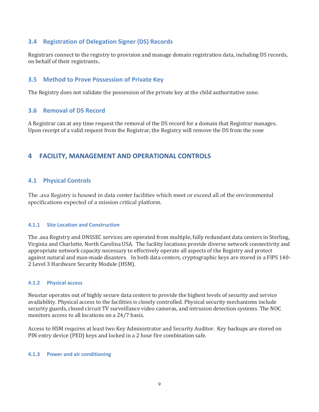### **3.4 Registration of Delegation Signer (DS) Records**

Registrars connect to the registry to provision and manage domain registration data, including DS records, on behalf of their registrants..

### **3.5 Method to Prove Possession of Private Key**

The Registry does not validate the possession of the private key at the child authoritative zone.

### **3.6 Removal of DS Record**

A Registrar can at any time request the removal of the DS record for a domain that Registrar manages. Upon receipt of a valid request from the Registrar, the Registry will remove the DS from the zone

### **4 FACILITY, MANAGEMENT AND OPERATIONAL CONTROLS**

### **4.1 Physical Controls**

The .axa Registry is housed in data center facilities which meet or exceed all of the environmental specifications expected of a mission critical platform.

### **4.1.1 Site Location and Construction**

The .axa Registry and DNSSEC services are operated from multiple, fully redundant data centers in Sterling, Virginia and Charlotte, North Carolina USA. The facility locations provide diverse network connectivity and appropriate network capacity necessary to effectively operate all aspects of the Registry and protect against natural and man-made disasters. In both data centers, cryptographic keys are stored in a FIPS 140- 2 Level 3 Hardware Security Module (HSM).

### **4.1.2 Physical access**

Neustar operates out of highly secure data centers to provide the highest levels of security and service availability. Physical access to the facilities is closely controlled. Physical security mechanisms include security guards, closed circuit TV surveillance video cameras, and intrusion detection systems. The NOC monitors access to all locations on a 24/7 basis.

Access to HSM requires at least two Key Administrator and Security Auditor. Key backups are stored on PIN entry device (PED) keys and locked in a 2 hour fire combination safe.

#### **4.1.3 Power and air conditioning**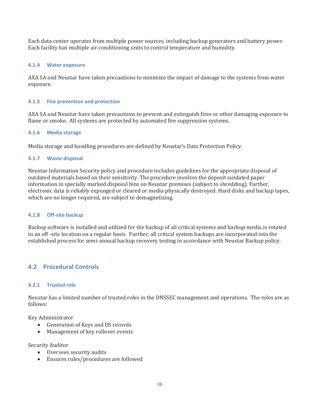Each data center operates from multiple power sources, including backup generators and battery power. Each facility has multiple air conditioning units to control temperature and humidity.

### **4.1.4 Water exposure**

AXA SA and Neustar have taken precautions to minimize the impact of damage to the systems from water exposure.

### **4.1.5 Fire prevention and protection**

AXA SA and Neustar have taken precautions to prevent and extinguish fires or other damaging exposure to flame or smoke. All systems are protected by automated fire suppression systems.

#### **4.1.6 Media storage**

Media storage and handling procedures are defined by Neustar's Data Protection Policy.

#### **4.1.7 Waste disposal**

Neustar Information Security policy and procedure includes guidelines for the appropriate disposal of outdated materials based on their sensitivity. The procedure involves the deposit outdated paper information in specially marked disposal bins on Neustar premises (subject to shredding). Further, electronic data is reliably expunged or cleared or media physically destroyed. Hard disks and backup tapes, which are no longer required, are subject to demagnetizing.

#### **4.1.8 Off-site backup**

Backup software is installed and utilized for the backup of all critical systems and backup media is rotated to an off -site location on a regular basis. Further, all critical system backups are incorporated into the established process for semi-annual backup recovery testing in accordance with Neustar Backup policy.

### **4.2 Procedural Controls**

#### **4.2.1 Trusted role**

Neustar has a limited number of trusted roles in the DNSSEC management and operations. The roles are as follows:

Key Administrator

- Generation of Keys and DS records
- Management of key rollover events

Security Auditor

- Oversees security audits
- Ensures rules/procedures are followed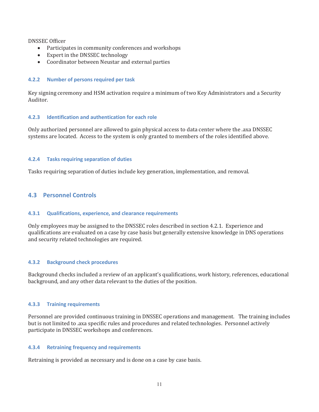DNSSEC Officer

- Participates in community conferences and workshops
- Expert in the DNSSEC technology
- Coordinator between Neustar and external parties

### **4.2.2 Number of persons required per task**

Key signing ceremony and HSM activation require a minimum of two Key Administrators and a Security Auditor.

### **4.2.3 Identification and authentication for each role**

Only authorized personnel are allowed to gain physical access to data center where the .axa DNSSEC systems are located. Access to the system is only granted to members of the roles identified above.

### **4.2.4 Tasks requiring separation of duties**

Tasks requiring separation of duties include key generation, implementation, and removal.

### **4.3 Personnel Controls**

### **4.3.1 Qualifications, experience, and clearance requirements**

Only employees may be assigned to the DNSSEC roles described in section 4.2.1. Experience and qualifications are evaluated on a case by case basis but generally extensive knowledge in DNS operations and security related technologies are required.

### **4.3.2 Background check procedures**

Background checks included a review of an applicant's qualifications, work history, references, educational background, and any other data relevant to the duties of the position.

### **4.3.3 Training requirements**

Personnel are provided continuous training in DNSSEC operations and management. The training includes but is not limited to .axa specific rules and procedures and related technologies. Personnel actively participate in DNSSEC workshops and conferences.

### **4.3.4 Retraining frequency and requirements**

Retraining is provided as necessary and is done on a case by case basis.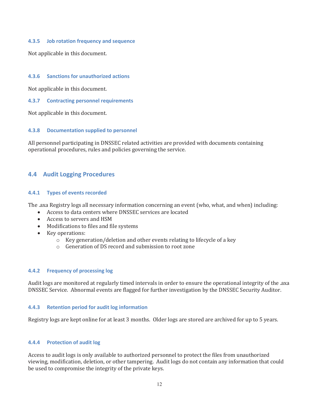#### **4.3.5 Job rotation frequency and sequence**

Not applicable in this document.

### **4.3.6 Sanctions for unauthorized actions**

Not applicable in this document.

#### **4.3.7 Contracting personnel requirements**

Not applicable in this document.

#### **4.3.8 Documentation supplied to personnel**

All personnel participating in DNSSEC related activities are provided with documents containing operational procedures, rules and policies governing the service.

### **4.4 Audit Logging Procedures**

#### **4.4.1 Types of events recorded**

The .axa Registry logs all necessary information concerning an event (who, what, and when) including:

- Access to data centers where DNSSEC services are located
- Access to servers and HSM
- Modifications to files and file systems
- Key operations:
	- o Key generation/deletion and other events relating to lifecycle of a key
	- o Generation of DS record and submission to root zone

#### **4.4.2 Frequency of processing log**

Audit logs are monitored at regularly timed intervals in order to ensure the operational integrity of the .axa DNSSEC Service. Abnormal events are flagged for further investigation by the DNSSEC Security Auditor.

#### **4.4.3 Retention period for audit log information**

Registry logs are kept online for at least 3 months. Older logs are stored are archived for up to 5 years.

#### **4.4.4 Protection of audit log**

Access to audit logs is only available to authorized personnel to protect the files from unauthorized viewing, modification, deletion, or other tampering. Audit logs do not contain any information that could be used to compromise the integrity of the private keys.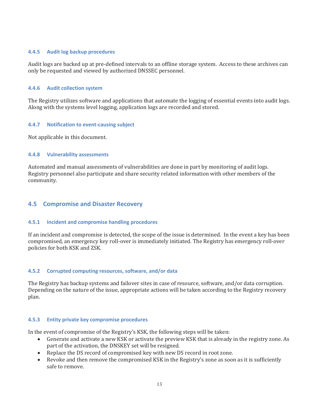#### **4.4.5 Audit log backup procedures**

Audit logs are backed up at pre-defined intervals to an offline storage system. Access to these archives can only be requested and viewed by authorized DNSSEC personnel.

### **4.4.6 Audit collection system**

The Registry utilizes software and applications that automate the logging of essential events into audit logs. Along with the systems level logging, application logs are recorded and stored.

### **4.4.7 Notification to event-causing subject**

Not applicable in this document.

#### **4.4.8 Vulnerability assessments**

Automated and manual assessments of vulnerabilities are done in part by monitoring of audit logs. Registry personnel also participate and share security related information with other members of the community.

### **4.5 Compromise and Disaster Recovery**

#### **4.5.1 Incident and compromise handling procedures**

If an incident and compromise is detected, the scope of the issue is determined. In the event a key has been compromised, an emergency key roll-over is immediately initiated. The Registry has emergency roll-over policies for both KSK and ZSK.

### **4.5.2 Corrupted computing resources, software, and/or data**

The Registry has backup systems and failover sites in case of resource, software, and/or data corruption. Depending on the nature of the issue, appropriate actions will be taken according to the Registry recovery plan.

#### **4.5.3 Entity private key compromise procedures**

In the event of compromise of the Registry's KSK, the following steps will be taken:

- Generate and activate a new KSK or activate the preview KSK that is already in the registry zone. As part of the activation, the DNSKEY set will be resigned.
- Replace the DS record of compromised key with new DS record in root zone.
- Revoke and then remove the compromised KSK in the Registry's zone as soon as it is sufficiently safe to remove.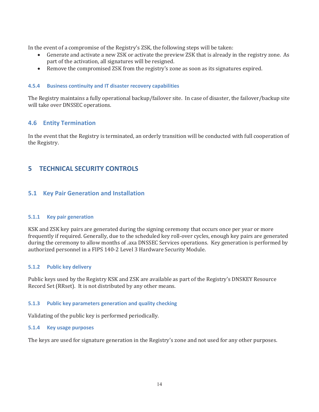In the event of a compromise of the Registry's ZSK, the following steps will be taken:

- Generate and activate a new ZSK or activate the preview ZSK that is already in the registry zone. As part of the activation, all signatures will be resigned.
- Remove the compromised ZSK from the registry's zone as soon as its signatures expired.

### **4.5.4 Business continuity and IT disaster recovery capabilities**

The Registry maintains a fully operational backup/failover site. In case of disaster, the failover/backup site will take over DNSSEC operations.

### **4.6 Entity Termination**

In the event that the Registry is terminated, an orderly transition will be conducted with full cooperation of the Registry.

### **5 TECHNICAL SECURITY CONTROLS**

### **5.1 Key Pair Generation and Installation**

### **5.1.1 Key pair generation**

KSK and ZSK key pairs are generated during the signing ceremony that occurs once per year or more frequently if required. Generally, due to the scheduled key roll-over cycles, enough key pairs are generated during the ceremony to allow months of .axa DNSSEC Services operations. Key generation is performed by authorized personnel in a FIPS 140-2 Level 3 Hardware Security Module.

### **5.1.2 Public key delivery**

Public keys used by the Registry KSK and ZSK are available as part of the Registry's DNSKEY Resource Record Set (RRset). It is not distributed by any other means.

### **5.1.3 Public key parameters generation and quality checking**

Validating of the public key is performed periodically.

### **5.1.4 Key usage purposes**

The keys are used for signature generation in the Registry's zone and not used for any other purposes.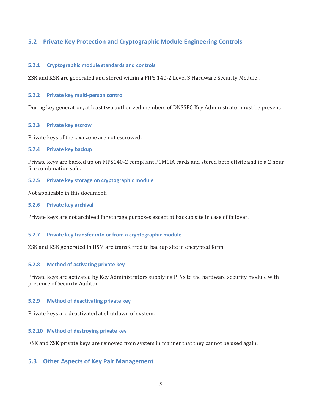### **5.2 Private Key Protection and Cryptographic Module Engineering Controls**

### **5.2.1 Cryptographic module standards and controls**

ZSK and KSK are generated and stored within a FIPS 140-2 Level 3 Hardware Security Module .

#### **5.2.2 Private key multi-person control**

During key generation, at least two authorized members of DNSSEC Key Administrator must be present.

#### **5.2.3 Private key escrow**

Private keys of the .axa zone are not escrowed.

#### **5.2.4 Private key backup**

Private keys are backed up on FIPS140-2 compliant PCMCIA cards and stored both offsite and in a 2 hour fire combination safe.

### **5.2.5 Private key storage on cryptographic module**

Not applicable in this document.

#### **5.2.6 Private key archival**

Private keys are not archived for storage purposes except at backup site in case of failover.

### **5.2.7 Private key transfer into or from a cryptographic module**

ZSK and KSK generated in HSM are transferred to backup site in encrypted form.

### **5.2.8 Method of activating private key**

Private keys are activated by Key Administrators supplying PINs to the hardware security module with presence of Security Auditor.

### **5.2.9 Method of deactivating private key**

Private keys are deactivated at shutdown of system.

### **5.2.10 Method of destroying private key**

KSK and ZSK private keys are removed from system in manner that they cannot be used again.

### **5.3 Other Aspects of Key Pair Management**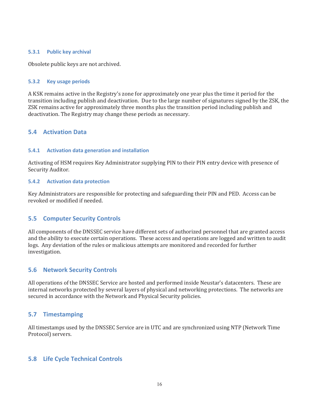### **5.3.1 Public key archival**

Obsolete public keys are not archived.

#### **5.3.2 Key usage periods**

A KSK remains active in the Registry's zone for approximately one year plus the time it period for the transition including publish and deactivation. Due to the large number of signatures signed by the ZSK, the ZSK remains active for approximately three months plus the transition period including publish and deactivation. The Registry may change these periods as necessary.

### **5.4 Activation Data**

#### **5.4.1 Activation data generation and installation**

Activating of HSM requires Key Administrator supplying PIN to their PIN entry device with presence of Security Auditor.

#### **5.4.2 Activation data protection**

Key Administrators are responsible for protecting and safeguarding their PIN and PED. Access can be revoked or modified if needed.

### **5.5 Computer Security Controls**

All components of the DNSSEC service have different sets of authorized personnel that are granted access and the ability to execute certain operations. These access and operations are logged and written to audit logs. Any deviation of the rules or malicious attempts are monitored and recorded for further investigation.

### **5.6 Network Security Controls**

All operations of the DNSSEC Service are hosted and performed inside Neustar's datacenters. These are internal networks protected by several layers of physical and networking protections. The networks are secured in accordance with the Network and Physical Security policies.

### **5.7 Timestamping**

All timestamps used by the DNSSEC Service are in UTC and are synchronized using NTP (Network Time Protocol) servers.

### **5.8 Life Cycle Technical Controls**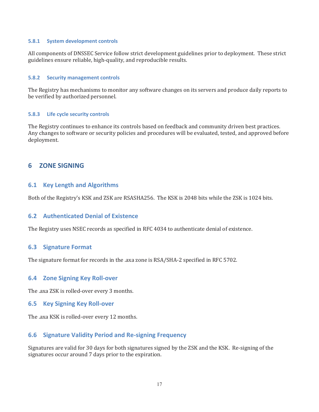#### **5.8.1 System development controls**

All components of DNSSEC Service follow strict development guidelines prior to deployment. These strict guidelines ensure reliable, high-quality, and reproducible results.

#### **5.8.2 Security management controls**

The Registry has mechanisms to monitor any software changes on its servers and produce daily reports to be verified by authorized personnel.

#### **5.8.3 Life cycle security controls**

The Registry continues to enhance its controls based on feedback and community driven best practices. Any changes to software or security policies and procedures will be evaluated, tested, and approved before deployment.

### **6 ZONE SIGNING**

### **6.1 Key Length and Algorithms**

Both of the Registry's KSK and ZSK are RSASHA256. The KSK is 2048 bits while the ZSK is 1024 bits.

### **6.2 Authenticated Denial of Existence**

The Registry uses NSEC records as specified in RFC 4034 to authenticate denial of existence.

### **6.3 Signature Format**

The signature format for records in the .axa zone is RSA/SHA-2 specified in RFC 5702.

### **6.4 Zone Signing Key Roll-over**

The .axa ZSK is rolled-over every 3 months.

### **6.5 Key Signing Key Roll-over**

The .axa KSK is rolled-over every 12 months.

### **6.6 Signature Validity Period and Re-signing Frequency**

Signatures are valid for 30 days for both signatures signed by the ZSK and the KSK. Re-signing of the signatures occur around 7 days prior to the expiration.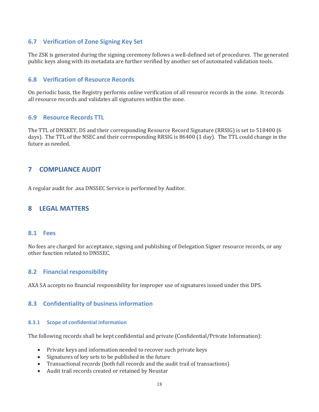### **6.7 Verification of Zone Signing Key Set**

The ZSK is generated during the signing ceremony follows a well-defined set of procedures. The generated public keys along with its metadata are further verified by another set of automated validation tools.

### **6.8 Verification of Resource Records**

On periodic basis, the Registry performs online verification of all resource records in the zone. It records all resource records and validates all signatures within the zone.

### **6.9 Resource Records TTL**

The TTL of DNSKEY, DS and their corresponding Resource Record Signature (RRSIG) is set to 518400 (6 days). The TTL of the NSEC and their corresponding RRSIG is 86400 (1 day). The TTL could change in the future as needed.

### **7 COMPLIANCE AUDIT**

A regular audit for .axa DNSSEC Service is performed by Auditor.

### **8 LEGAL MATTERS**

### **8.1 Fees**

No fees are charged for acceptance, signing and publishing of Delegation Signer resource records, or any other function related to DNSSEC.

### **8.2 Financial responsibility**

AXA SA accepts no financial responsibility for improper use of signatures issued under this DPS.

### **8.3 Confidentiality of business information**

### **8.3.1 Scope of confidential information**

The following records shall be kept confidential and private (Confidential/Private Information):

- Private keys and information needed to recover such private keys
- Signatures of key sets to be published in the future
- Transactional records (both full records and the audit trail of transactions)
- Audit trail records created or retained by Neustar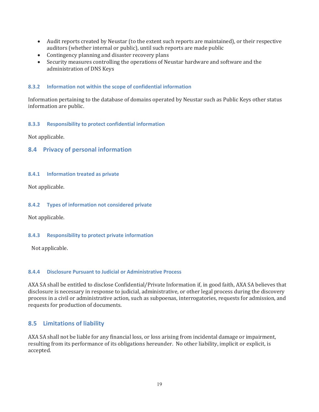- Audit reports created by Neustar (to the extent such reports are maintained), or their respective auditors (whether internal or public), until such reports are made public
- Contingency planning and disaster recovery plans
- Security measures controlling the operations of Neustar hardware and software and the administration of DNS Keys

#### **8.3.2 Information not within the scope of confidential information**

Information pertaining to the database of domains operated by Neustar such as Public Keys other status information are public.

#### **8.3.3 Responsibility to protect confidential information**

Not applicable.

### **8.4 Privacy of personal information**

#### **8.4.1 Information treated as private**

Not applicable.

#### **8.4.2 Types of information not considered private**

Not applicable.

#### **8.4.3 Responsibility to protect private information**

Not applicable.

#### **8.4.4 Disclosure Pursuant to Judicial or Administrative Process**

AXA SA shall be entitled to disclose Confidential/Private Information if, in good faith, AXA SA believes that disclosure is necessary in response to judicial, administrative, or other legal process during the discovery process in a civil or administrative action, such as subpoenas, interrogatories, requests for admission, and requests for production of documents.

### **8.5 Limitations of liability**

AXA SA shall not be liable for any financial loss, or loss arising from incidental damage or impairment, resulting from its performance of its obligations hereunder. No other liability, implicit or explicit, is accepted.